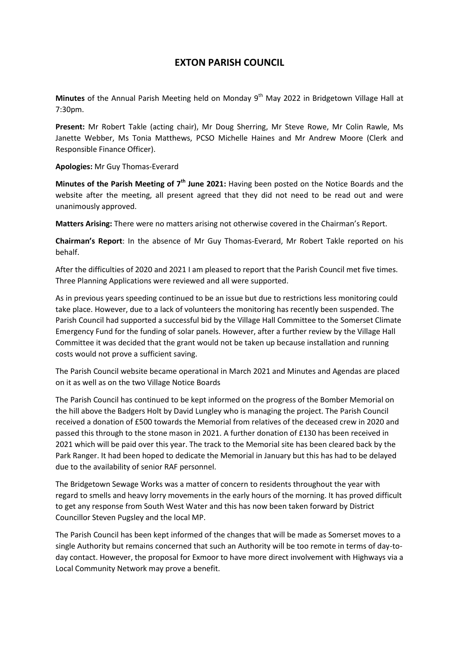## **EXTON PARISH COUNCIL**

Minutes of the Annual Parish Meeting held on Monday 9<sup>th</sup> May 2022 in Bridgetown Village Hall at 7:30pm.

**Present:** Mr Robert Takle (acting chair), Mr Doug Sherring, Mr Steve Rowe, Mr Colin Rawle, Ms Janette Webber, Ms Tonia Matthews, PCSO Michelle Haines and Mr Andrew Moore (Clerk and Responsible Finance Officer).

**Apologies:** Mr Guy Thomas-Everard

Minutes of the Parish Meeting of 7<sup>th</sup> June 2021: Having been posted on the Notice Boards and the website after the meeting, all present agreed that they did not need to be read out and were unanimously approved.

**Matters Arising:** There were no matters arising not otherwise covered in the Chairman's Report.

**Chairman's Report**: In the absence of Mr Guy Thomas-Everard, Mr Robert Takle reported on his behalf.

After the difficulties of 2020 and 2021 I am pleased to report that the Parish Council met five times. Three Planning Applications were reviewed and all were supported.

As in previous years speeding continued to be an issue but due to restrictions less monitoring could take place. However, due to a lack of volunteers the monitoring has recently been suspended. The Parish Council had supported a successful bid by the Village Hall Committee to the Somerset Climate Emergency Fund for the funding of solar panels. However, after a further review by the Village Hall Committee it was decided that the grant would not be taken up because installation and running costs would not prove a sufficient saving.

The Parish Council website became operational in March 2021 and Minutes and Agendas are placed on it as well as on the two Village Notice Boards

The Parish Council has continued to be kept informed on the progress of the Bomber Memorial on the hill above the Badgers Holt by David Lungley who is managing the project. The Parish Council received a donation of £500 towards the Memorial from relatives of the deceased crew in 2020 and passed this through to the stone mason in 2021. A further donation of £130 has been received in 2021 which will be paid over this year. The track to the Memorial site has been cleared back by the Park Ranger. It had been hoped to dedicate the Memorial in January but this has had to be delayed due to the availability of senior RAF personnel.

The Bridgetown Sewage Works was a matter of concern to residents throughout the year with regard to smells and heavy lorry movements in the early hours of the morning. It has proved difficult to get any response from South West Water and this has now been taken forward by District Councillor Steven Pugsley and the local MP.

The Parish Council has been kept informed of the changes that will be made as Somerset moves to a single Authority but remains concerned that such an Authority will be too remote in terms of day-today contact. However, the proposal for Exmoor to have more direct involvement with Highways via a Local Community Network may prove a benefit.